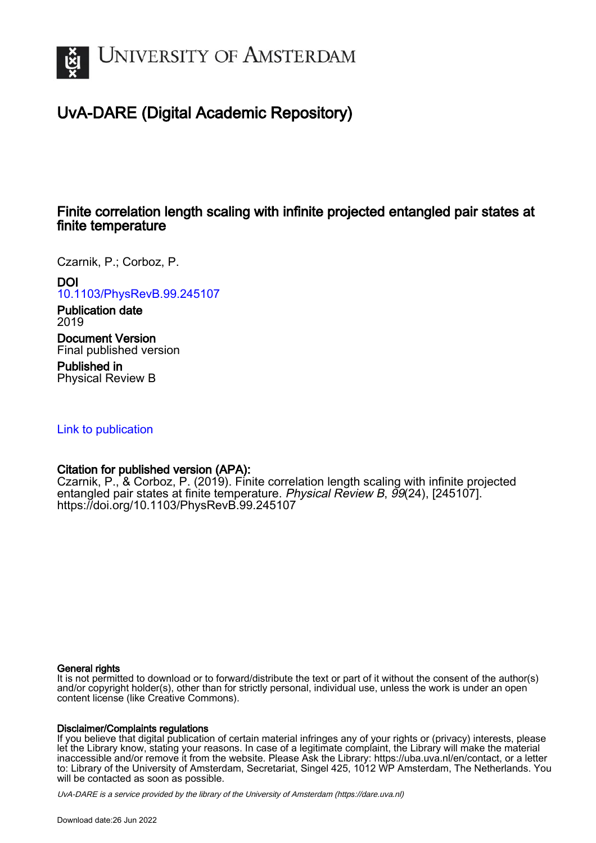

# UvA-DARE (Digital Academic Repository)

## Finite correlation length scaling with infinite projected entangled pair states at finite temperature

Czarnik, P.; Corboz, P.

## DOI

[10.1103/PhysRevB.99.245107](https://doi.org/10.1103/PhysRevB.99.245107)

## Publication date 2019

Document Version Final published version

Published in Physical Review B

## [Link to publication](https://dare.uva.nl/personal/pure/en/publications/finite-correlation-length-scaling-with-infinite-projected-entangled-pair-states-at-finite-temperature(88b51ce1-7621-4445-bf33-7687702e811d).html)

## Citation for published version (APA):

Czarnik, P., & Corboz, P. (2019). Finite correlation length scaling with infinite projected entangled pair states at finite temperature. Physical Review B, 99(24), [245107]. <https://doi.org/10.1103/PhysRevB.99.245107>

## General rights

It is not permitted to download or to forward/distribute the text or part of it without the consent of the author(s) and/or copyright holder(s), other than for strictly personal, individual use, unless the work is under an open content license (like Creative Commons).

## Disclaimer/Complaints regulations

If you believe that digital publication of certain material infringes any of your rights or (privacy) interests, please let the Library know, stating your reasons. In case of a legitimate complaint, the Library will make the material inaccessible and/or remove it from the website. Please Ask the Library: https://uba.uva.nl/en/contact, or a letter to: Library of the University of Amsterdam, Secretariat, Singel 425, 1012 WP Amsterdam, The Netherlands. You will be contacted as soon as possible.

UvA-DARE is a service provided by the library of the University of Amsterdam (http*s*://dare.uva.nl)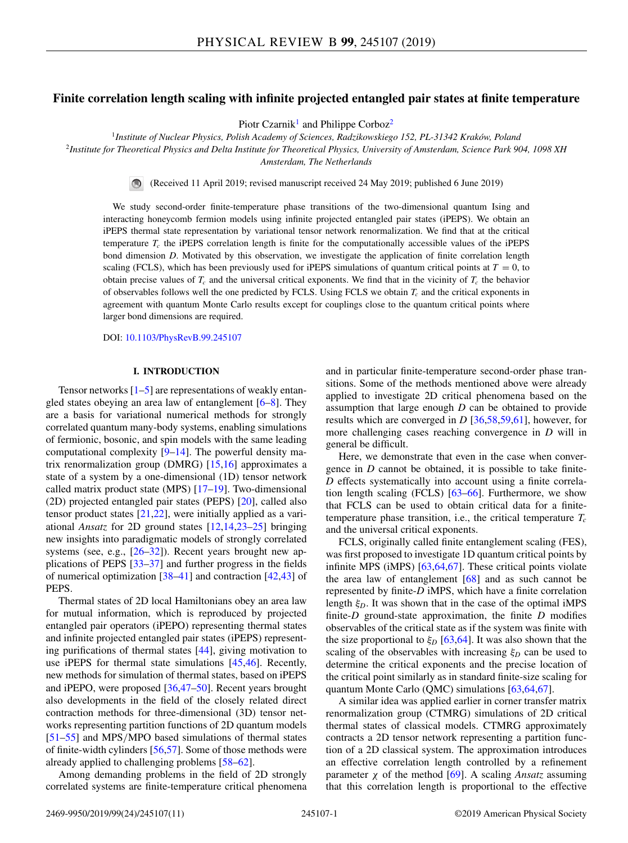## **Finite correlation length scaling with infinite projected entangled pair states at finite temperature**

Piotr Czarnik<sup>1</sup> and Philippe Corboz<sup>2</sup>

<sup>1</sup>*Institute of Nuclear Physics, Polish Academy of Sciences, Radzikowskiego 152, PL-31342 Kraków, Poland*

<sup>2</sup>*Institute for Theoretical Physics and Delta Institute for Theoretical Physics, University of Amsterdam, Science Park 904, 1098 XH*

*Amsterdam, The Netherlands*

 $\bigcirc$ (Received 11 April 2019; revised manuscript received 24 May 2019; published 6 June 2019)

We study second-order finite-temperature phase transitions of the two-dimensional quantum Ising and interacting honeycomb fermion models using infinite projected entangled pair states (iPEPS). We obtain an iPEPS thermal state representation by variational tensor network renormalization. We find that at the critical temperature  $T_c$  the iPEPS correlation length is finite for the computationally accessible values of the iPEPS bond dimension *D*. Motivated by this observation, we investigate the application of finite correlation length scaling (FCLS), which has been previously used for iPEPS simulations of quantum critical points at  $T = 0$ , to obtain precise values of  $T_c$  and the universal critical exponents. We find that in the vicinity of  $T_c$  the behavior of observables follows well the one predicted by FCLS. Using FCLS we obtain *Tc* and the critical exponents in agreement with quantum Monte Carlo results except for couplings close to the quantum critical points where larger bond dimensions are required.

DOI: [10.1103/PhysRevB.99.245107](https://doi.org/10.1103/PhysRevB.99.245107)

## **I. INTRODUCTION**

Tensor networks  $\left[1-5\right]$  are representations of weakly entangled states obeying an area law of entanglement [\[6–8\]](#page-10-0). They are a basis for variational numerical methods for strongly correlated quantum many-body systems, enabling simulations of fermionic, bosonic, and spin models with the same leading computational complexity [\[9–14\]](#page-10-0). The powerful density matrix renormalization group (DMRG) [\[15,16\]](#page-10-0) approximates a state of a system by a one-dimensional (1D) tensor network called matrix product state (MPS)  $[17–19]$ . Two-dimensional (2D) projected entangled pair states (PEPS) [\[20\]](#page-10-0), called also tensor product states  $[21,22]$ , were initially applied as a variational *Ansatz* for 2D ground states [\[12,14,23–25\]](#page-10-0) bringing new insights into paradigmatic models of strongly correlated systems (see, e.g.,  $[26-32]$  $[26-32]$ ). Recent years brought new applications of PEPS [\[33–37\]](#page-11-0) and further progress in the fields of numerical optimization  $[38-41]$  and contraction  $[42,43]$  of PEPS.

Thermal states of 2D local Hamiltonians obey an area law for mutual information, which is reproduced by projected entangled pair operators (iPEPO) representing thermal states and infinite projected entangled pair states (iPEPS) representing purifications of thermal states [\[44\]](#page-11-0), giving motivation to use iPEPS for thermal state simulations [\[45,46\]](#page-11-0). Recently, new methods for simulation of thermal states, based on iPEPS and iPEPO, were proposed [\[36,47–50\]](#page-11-0). Recent years brought also developments in the field of the closely related direct contraction methods for three-dimensional (3D) tensor networks representing partition functions of 2D quantum models [\[51–55\]](#page-11-0) and MPS/MPO based simulations of thermal states of finite-width cylinders [\[56,57\]](#page-11-0). Some of those methods were already applied to challenging problems [\[58–62\]](#page-11-0).

Among demanding problems in the field of 2D strongly correlated systems are finite-temperature critical phenomena and in particular finite-temperature second-order phase transitions. Some of the methods mentioned above were already applied to investigate 2D critical phenomena based on the assumption that large enough *D* can be obtained to provide results which are converged in *D* [\[36,58,59,61\]](#page-11-0), however, for more challenging cases reaching convergence in *D* will in general be difficult.

Here, we demonstrate that even in the case when convergence in *D* cannot be obtained, it is possible to take finite-*D* effects systematically into account using a finite correlation length scaling (FCLS) [\[63–66\]](#page-11-0). Furthermore, we show that FCLS can be used to obtain critical data for a finitetemperature phase transition, i.e., the critical temperature  $T_c$ and the universal critical exponents.

FCLS, originally called finite entanglement scaling (FES), was first proposed to investigate 1D quantum critical points by infinite MPS (iMPS) [\[63,64,67\]](#page-11-0). These critical points violate the area law of entanglement  $[68]$  and as such cannot be represented by finite-*D* iMPS, which have a finite correlation length  $\xi_D$ . It was shown that in the case of the optimal iMPS finite-*D* ground-state approximation, the finite *D* modifies observables of the critical state as if the system was finite with the size proportional to  $\xi_D$  [\[63,64\]](#page-11-0). It was also shown that the scaling of the observables with increasing  $\xi_D$  can be used to determine the critical exponents and the precise location of the critical point similarly as in standard finite-size scaling for quantum Monte Carlo (QMC) simulations [\[63,64,67\]](#page-11-0).

A similar idea was applied earlier in corner transfer matrix renormalization group (CTMRG) simulations of 2D critical thermal states of classical models. CTMRG approximately contracts a 2D tensor network representing a partition function of a 2D classical system. The approximation introduces an effective correlation length controlled by a refinement parameter χ of the method [\[69\]](#page-11-0). A scaling *Ansatz* assuming that this correlation length is proportional to the effective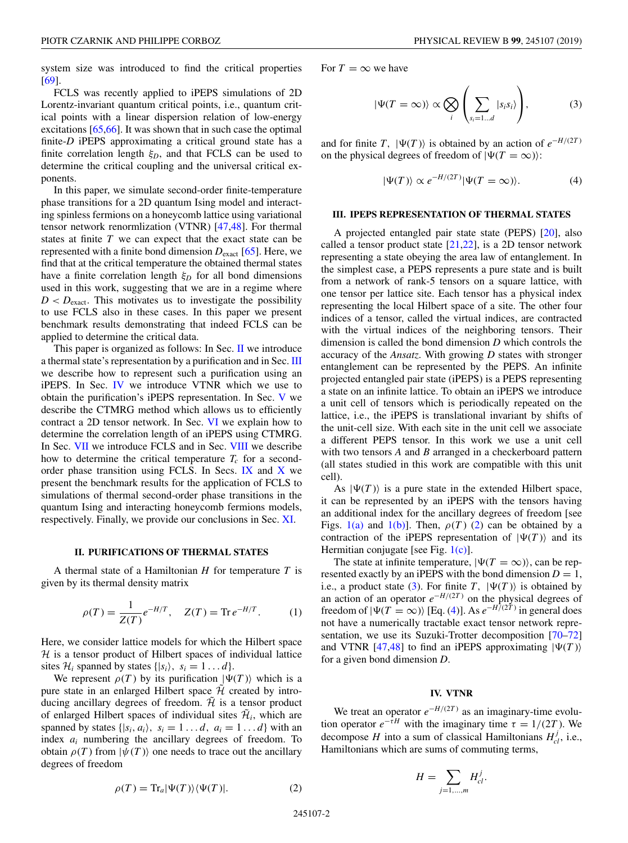<span id="page-2-0"></span>system size was introduced to find the critical properties [\[69\]](#page-11-0).

FCLS was recently applied to iPEPS simulations of 2D Lorentz-invariant quantum critical points, i.e., quantum critical points with a linear dispersion relation of low-energy excitations [\[65,66\]](#page-11-0). It was shown that in such case the optimal finite-*D* iPEPS approximating a critical ground state has a finite correlation length  $\xi_D$ , and that FCLS can be used to determine the critical coupling and the universal critical exponents.

In this paper, we simulate second-order finite-temperature phase transitions for a 2D quantum Ising model and interacting spinless fermions on a honeycomb lattice using variational tensor network renormlization (VTNR) [\[47,48\]](#page-11-0). For thermal states at finite *T* we can expect that the exact state can be represented with a finite bond dimension *D*exact [\[65\]](#page-11-0). Here, we find that at the critical temperature the obtained thermal states have a finite correlation length  $\xi_D$  for all bond dimensions used in this work, suggesting that we are in a regime where  $D < D_{\text{exact}}$ . This motivates us to investigate the possibility to use FCLS also in these cases. In this paper we present benchmark results demonstrating that indeed FCLS can be applied to determine the critical data.

This paper is organized as follows: In Sec. II we introduce a thermal state's representation by a purification and in Sec. III we describe how to represent such a purification using an iPEPS. In Sec. IV we introduce VTNR which we use to obtain the purification's iPEPS representation. In Sec. [V](#page-3-0) we describe the CTMRG method which allows us to efficiently contract a 2D tensor network. In Sec. [VI](#page-4-0) we explain how to determine the correlation length of an iPEPS using CTMRG. In Sec. [VII](#page-4-0) we introduce FCLS and in Sec. [VIII](#page-5-0) we describe how to determine the critical temperature  $T_c$  for a second-order phase transition using FCLS. In Secs. [IX](#page-6-0) and  $X$  we present the benchmark results for the application of FCLS to simulations of thermal second-order phase transitions in the quantum Ising and interacting honeycomb fermions models, respectively. Finally, we provide our conclusions in Sec. [XI.](#page-10-0)

## **II. PURIFICATIONS OF THERMAL STATES**

A thermal state of a Hamiltonian *H* for temperature *T* is given by its thermal density matrix

$$
\rho(T) = \frac{1}{Z(T)} e^{-H/T}, \quad Z(T) = \text{Tr} \, e^{-H/T}.
$$
 (1)

Here, we consider lattice models for which the Hilbert space  $H$  is a tensor product of Hilbert spaces of individual lattice sites  $\mathcal{H}_i$  spanned by states  $\{|s_i\rangle, s_i = 1...d\}$ .

We represent  $\rho(T)$  by its purification  $|\Psi(T)\rangle$  which is a pure state in an enlarged Hilbert space  $\hat{\mathcal{H}}$  created by introducing ancillary degrees of freedom.  $\tilde{\mathcal{H}}$  is a tensor product of enlarged Hilbert spaces of individual sites  $\mathcal{H}_i$ , which are spanned by states  $\{|s_i, a_i\rangle, s_i = 1 \dots d, a_i = 1 \dots d\}$  with an index *ai* numbering the ancillary degrees of freedom. To obtain  $\rho(T)$  from  $|\psi(T)\rangle$  one needs to trace out the ancillary degrees of freedom

$$
\rho(T) = \text{Tr}_a|\Psi(T)\rangle\langle\Psi(T)|. \tag{2}
$$

For  $T = \infty$  we have

$$
|\Psi(T=\infty)\rangle \propto \bigotimes_{i} \left(\sum_{s_{i}=1...d} |s_{i}s_{i}\rangle\right),\tag{3}
$$

and for finite *T*,  $|\Psi(T)\rangle$  is obtained by an action of  $e^{-H/(2T)}$ on the physical degrees of freedom of  $|\Psi(T = \infty)\rangle$ :

$$
|\Psi(T)\rangle \propto e^{-H/(2T)}|\Psi(T=\infty)\rangle.
$$
 (4)

#### **III. IPEPS REPRESENTATION OF THERMAL STATES**

A projected entangled pair state state (PEPS) [\[20\]](#page-10-0), also called a tensor product state  $[21,22]$ , is a 2D tensor network representing a state obeying the area law of entanglement. In the simplest case, a PEPS represents a pure state and is built from a network of rank-5 tensors on a square lattice, with one tensor per lattice site. Each tensor has a physical index representing the local Hilbert space of a site. The other four indices of a tensor, called the virtual indices, are contracted with the virtual indices of the neighboring tensors. Their dimension is called the bond dimension *D* which controls the accuracy of the *Ansatz*. With growing *D* states with stronger entanglement can be represented by the PEPS. An infinite projected entangled pair state (iPEPS) is a PEPS representing a state on an infinite lattice. To obtain an iPEPS we introduce a unit cell of tensors which is periodically repeated on the lattice, i.e., the iPEPS is translational invariant by shifts of the unit-cell size. With each site in the unit cell we associate a different PEPS tensor. In this work we use a unit cell with two tensors *A* and *B* arranged in a checkerboard pattern (all states studied in this work are compatible with this unit cell).

As  $|\Psi(T)\rangle$  is a pure state in the extended Hilbert space, it can be represented by an iPEPS with the tensors having an additional index for the ancillary degrees of freedom [see Figs.  $1(a)$  and  $1(b)$ ]. Then,  $\rho(T)$  (2) can be obtained by a contraction of the iPEPS representation of  $|\Psi(T)\rangle$  and its Hermitian conjugate [see Fig. [1\(c\)\]](#page-3-0).

The state at infinite temperature,  $|\Psi(T = \infty)\rangle$ , can be represented exactly by an iPEPS with the bond dimension  $D = 1$ , i.e., a product state (3). For finite  $T$ ,  $|\Psi(T)\rangle$  is obtained by an action of an operator  $e^{-H/(2T)}$  on the physical degrees of freedom of  $|\Psi(T = \infty)\rangle$  [Eq. (4)]. As  $e^{-H/(2T)}$  in general does not have a numerically tractable exact tensor network representation, we use its Suzuki-Trotter decomposition [\[70–72\]](#page-11-0) and VTNR [\[47,48\]](#page-11-0) to find an iPEPS approximating  $|\Psi(T)\rangle$ for a given bond dimension *D*.

### **IV. VTNR**

We treat an operator *e*<sup>−</sup>*H*/(2*<sup>T</sup>* ) as an imaginary-time evolution operator  $e^{-\tau H}$  with the imaginary time  $\tau = 1/(2T)$ . We decompose *H* into a sum of classical Hamiltonians  $H_{cl}^j$ , i.e., Hamiltonians which are sums of commuting terms,

$$
H=\sum_{j=1,\dots,m}H_{cl}^j.
$$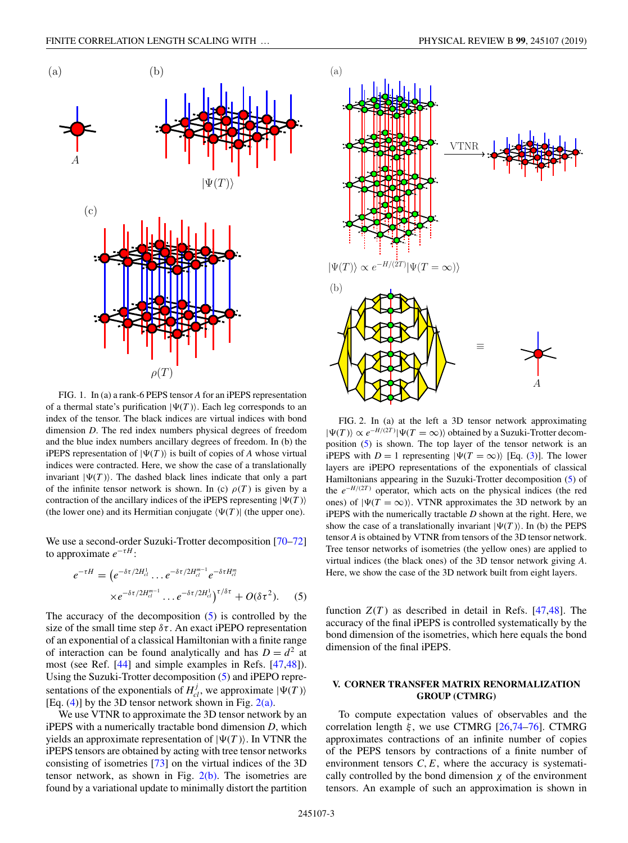<span id="page-3-0"></span>

FIG. 1. In (a) a rank-6 PEPS tensor *A* for an iPEPS representation of a thermal state's purification  $|\Psi(T)\rangle$ . Each leg corresponds to an index of the tensor. The black indices are virtual indices with bond dimension *D*. The red index numbers physical degrees of freedom and the blue index numbers ancillary degrees of freedom. In (b) the iPEPS representation of  $|\Psi(T)\rangle$  is built of copies of *A* whose virtual indices were contracted. Here, we show the case of a translationally invariant  $|\Psi(T)\rangle$ . The dashed black lines indicate that only a part of the infinite tensor network is shown. In (c)  $\rho(T)$  is given by a contraction of the ancillary indices of the iPEPS representing  $|\Psi(T)\rangle$ (the lower one) and its Hermitian conjugate  $\langle \Psi(T) |$  (the upper one).

We use a second-order Suzuki-Trotter decomposition [\[70–72\]](#page-11-0) to approximate  $e^{-\tau H}$ :

$$
e^{-\tau H} = (e^{-\delta \tau/2H_{cl}^1} \dots e^{-\delta \tau/2H_{cl}^{m-1}} e^{-\delta \tau H_{cl}^m}
$$

$$
\times e^{-\delta \tau/2H_{cl}^{m-1}} \dots e^{-\delta \tau/2H_{cl}^1} \gamma^{\tau/\delta \tau} + O(\delta \tau^2). \tag{5}
$$

The accuracy of the decomposition  $(5)$  is controlled by the size of the small time step  $\delta \tau$ . An exact iPEPO representation of an exponential of a classical Hamiltonian with a finite range of interaction can be found analytically and has  $D = d^2$  at most (see Ref. [\[44\]](#page-11-0) and simple examples in Refs. [\[47,48\]](#page-11-0)). Using the Suzuki-Trotter decomposition (5) and iPEPO representations of the exponentials of  $H_{cl}^{j}$ , we approximate  $|\Psi(T)\rangle$ [Eq.  $(4)$ ] by the 3D tensor network shown in Fig.  $2(a)$ .

We use VTNR to approximate the 3D tensor network by an iPEPS with a numerically tractable bond dimension *D*, which yields an approximate representation of  $|\Psi(T)\rangle$ . In VTNR the iPEPS tensors are obtained by acting with tree tensor networks consisting of isometries [\[73\]](#page-11-0) on the virtual indices of the 3D tensor network, as shown in Fig.  $2(b)$ . The isometries are found by a variational update to minimally distort the partition



FIG. 2. In (a) at the left a 3D tensor network approximating  $|\Psi(T)\rangle \propto e^{-H/(2T)}|\Psi(T = \infty)\rangle$  obtained by a Suzuki-Trotter decomposition (5) is shown. The top layer of the tensor network is an iPEPS with *D* = 1 representing  $|\Psi(T = \infty)\rangle$  [Eq. [\(3\)](#page-2-0)]. The lower layers are iPEPO representations of the exponentials of classical Hamiltonians appearing in the Suzuki-Trotter decomposition (5) of the *e*<sup>−</sup>*H*/(2*<sup>T</sup>* ) operator, which acts on the physical indices (the red ones) of  $|\Psi(T = \infty)\rangle$ . VTNR approximates the 3D network by an iPEPS with the numerically tractable *D* shown at the right. Here, we show the case of a translationally invariant  $|\Psi(T)\rangle$ . In (b) the PEPS tensor *A* is obtained by VTNR from tensors of the 3D tensor network. Tree tensor networks of isometries (the yellow ones) are applied to virtual indices (the black ones) of the 3D tensor network giving *A*. Here, we show the case of the 3D network built from eight layers.

function  $Z(T)$  as described in detail in Refs. [\[47,48\]](#page-11-0). The accuracy of the final iPEPS is controlled systematically by the bond dimension of the isometries, which here equals the bond dimension of the final iPEPS.

## **V. CORNER TRANSFER MATRIX RENORMALIZATION GROUP (CTMRG)**

To compute expectation values of observables and the correlation length  $\xi$ , we use CTMRG [\[26,](#page-10-0)[74–76\]](#page-11-0). CTMRG approximates contractions of an infinite number of copies of the PEPS tensors by contractions of a finite number of environment tensors  $C, E$ , where the accuracy is systematically controlled by the bond dimension  $\chi$  of the environment tensors. An example of such an approximation is shown in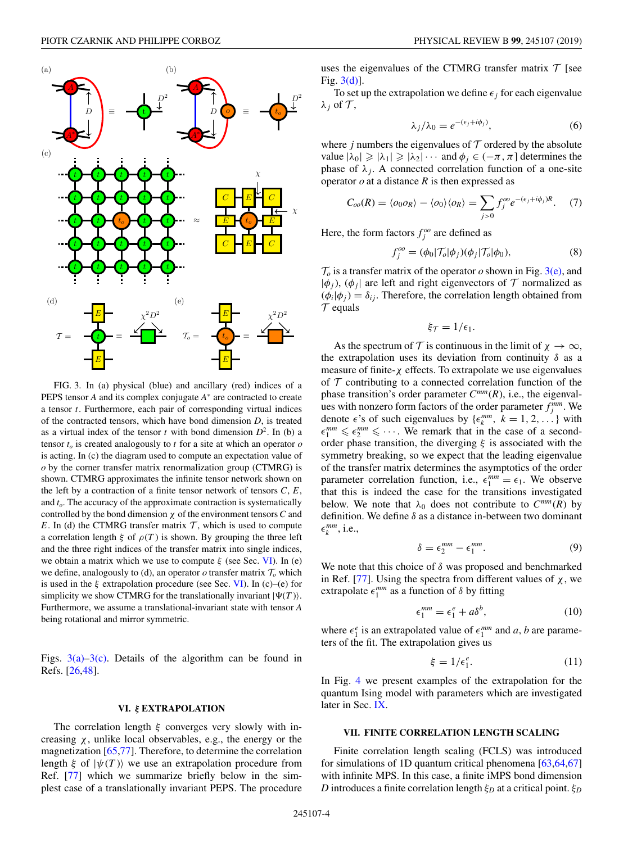<span id="page-4-0"></span>

FIG. 3. In (a) physical (blue) and ancillary (red) indices of a PEPS tensor *A* and its complex conjugate *A*<sup>∗</sup> are contracted to create a tensor *t*. Furthermore, each pair of corresponding virtual indices of the contracted tensors, which have bond dimension *D*, is treated as a virtual index of the tensor *t* with bond dimension  $D^2$ . In (b) a tensor  $t<sub>o</sub>$  is created analogously to  $t$  for a site at which an operator  $o$ is acting. In (c) the diagram used to compute an expectation value of *o* by the corner transfer matrix renormalization group (CTMRG) is shown. CTMRG approximates the infinite tensor network shown on the left by a contraction of a finite tensor network of tensors *C*, *E*, and *to*. The accuracy of the approximate contraction is systematically controlled by the bond dimension χ of the environment tensors*C* and *E*. In (d) the CTMRG transfer matrix  $T$ , which is used to compute a correlation length  $\xi$  of  $\rho(T)$  is shown. By grouping the three left and the three right indices of the transfer matrix into single indices, we obtain a matrix which we use to compute  $\xi$  (see Sec. VI). In (e) we define, analogously to (d), an operator  $\sigma$  transfer matrix  $\mathcal{T}_{\sigma}$  which is used in the  $\xi$  extrapolation procedure (see Sec. VI). In (c)–(e) for simplicity we show CTMRG for the translationally invariant  $|\Psi(T)\rangle$ . Furthermore, we assume a translational-invariant state with tensor *A* being rotational and mirror symmetric.

Figs.  $3(a)-3(c)$ . Details of the algorithm can be found in Refs. [\[26,](#page-10-0)[48\]](#page-11-0).

## **VI.** *ξ* **EXTRAPOLATION**

The correlation length  $\xi$  converges very slowly with increasing  $\chi$ , unlike local observables, e.g., the energy or the magnetization [\[65,77\]](#page-11-0). Therefore, to determine the correlation length  $\xi$  of  $|\psi(T)\rangle$  we use an extrapolation procedure from Ref. [\[77\]](#page-11-0) which we summarize briefly below in the simplest case of a translationally invariant PEPS. The procedure uses the eigenvalues of the CTMRG transfer matrix  $T$  [see Fig. 3(d)].

To set up the extrapolation we define  $\epsilon_i$  for each eigenvalue  $\lambda_j$  of  $\mathcal{T}$ ,

$$
\lambda_j/\lambda_0 = e^{-(\epsilon_j + i\phi_j)},\tag{6}
$$

where *j* numbers the eigenvalues of  $T$  ordered by the absolute value  $|\lambda_0| \geq |\lambda_1| \geq |\lambda_2| \cdots$  and  $\phi_j \in (-\pi, \pi]$  determines the phase of  $\lambda_i$ . A connected correlation function of a one-site operator  $o$  at a distance  $R$  is then expressed as

$$
C_{oo}(R) = \langle o_0 o_R \rangle - \langle o_0 \rangle \langle o_R \rangle = \sum_{j>0} f_j^{oo} e^{-(\epsilon_j + i\phi_j)R}.
$$
 (7)

Here, the form factors  $f_j^{oo}$  are defined as

$$
f_j^{oo} = (\phi_0 | \mathcal{T}_o | \phi_j) (\phi_j | \mathcal{T}_o | \phi_0), \tag{8}
$$

 $\mathcal{T}_o$  is a transfer matrix of the operator *o* shown in Fig. 3(e), and  $|\phi_i|$ ,  $(\phi_i)$  are left and right eigenvectors of  $\mathcal T$  normalized as  $(\phi_i|\phi_j) = \delta_{ij}$ . Therefore, the correlation length obtained from  $\tau$  equals

$$
\xi_{\mathcal{T}}=1/\epsilon_1.
$$

As the spectrum of T is continuous in the limit of  $\chi \to \infty$ , the extrapolation uses its deviation from continuity  $\delta$  as a measure of finite-χ effects. To extrapolate we use eigenvalues of  $T$  contributing to a connected correlation function of the phase transition's order parameter  $C^{mm}(R)$ , i.e., the eigenvalues with nonzero form factors of the order parameter  $f_j^{mm}$ . We denote  $\epsilon$ 's of such eigenvalues by  $\{\epsilon_k^{mm}, k = 1, 2, ...\}$  with  $\epsilon_1^{mm} \leq \epsilon_2^{mm} \leq \cdots$ . We remark that in the case of a secondorder phase transition, the diverging  $\xi$  is associated with the symmetry breaking, so we expect that the leading eigenvalue of the transfer matrix determines the asymptotics of the order parameter correlation function, i.e.,  $\epsilon_1^{mm} = \epsilon_1$ . We observe that this is indeed the case for the transitions investigated below. We note that  $\lambda_0$  does not contribute to  $C^{mm}(R)$  by definition. We define  $\delta$  as a distance in-between two dominant  $\epsilon_k^{mm}$ , i.e.,

$$
\delta = \epsilon_2^{mm} - \epsilon_1^{mm}.\tag{9}
$$

We note that this choice of  $\delta$  was proposed and benchmarked in Ref. [\[77\]](#page-11-0). Using the spectra from different values of  $\chi$ , we extrapolate  $\epsilon_1^{mm}$  as a function of  $\delta$  by fitting

$$
\epsilon_1^{mm} = \epsilon_1^e + a\delta^b,\tag{10}
$$

where  $\epsilon_1^e$  is an extrapolated value of  $\epsilon_1^{mm}$  and *a*, *b* are parameters of the fit. The extrapolation gives us

$$
\xi = 1/\epsilon_1^e. \tag{11}
$$

In Fig. [4](#page-5-0) we present examples of the extrapolation for the quantum Ising model with parameters which are investigated later in Sec. [IX.](#page-6-0)

#### **VII. FINITE CORRELATION LENGTH SCALING**

Finite correlation length scaling (FCLS) was introduced for simulations of 1D quantum critical phenomena [\[63,64,67\]](#page-11-0) with infinite MPS. In this case, a finite iMPS bond dimension *D* introduces a finite correlation length ξ*<sup>D</sup>* at a critical point. ξ*<sup>D</sup>*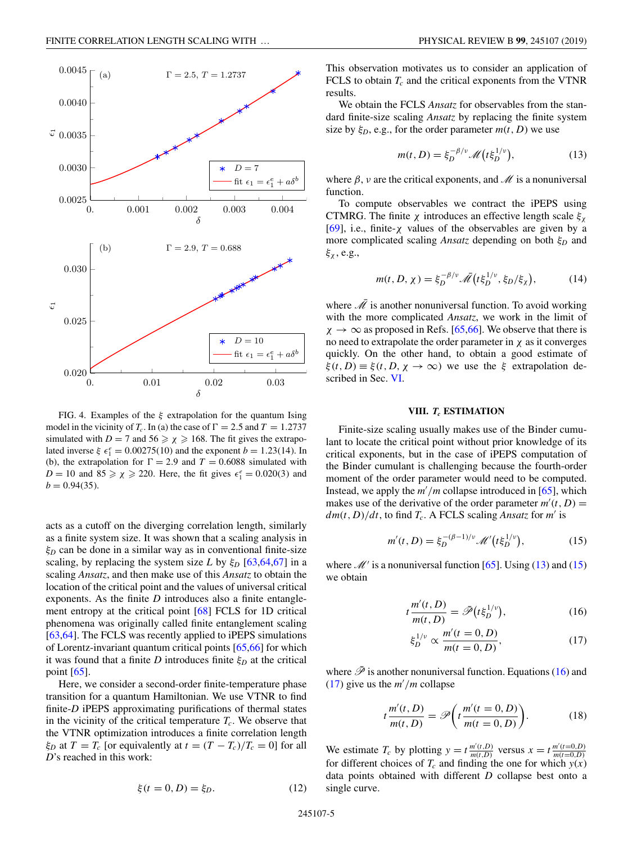<span id="page-5-0"></span>

FIG. 4. Examples of the  $\xi$  extrapolation for the quantum Ising model in the vicinity of  $T_c$ . In (a) the case of  $\Gamma = 2.5$  and  $T = 1.2737$ simulated with  $D = 7$  and  $56 \ge \chi \ge 168$ . The fit gives the extrapolated inverse  $\xi \epsilon_1^e = 0.00275(10)$  and the exponent  $b = 1.23(14)$ . In (b), the extrapolation for  $\Gamma = 2.9$  and  $T = 0.6088$  simulated with  $D = 10$  and  $85 \ge \chi \ge 220$ . Here, the fit gives  $\epsilon_1^e = 0.020(3)$  and  $b = 0.94(35)$ .

acts as a cutoff on the diverging correlation length, similarly as a finite system size. It was shown that a scaling analysis in  $\xi_D$  can be done in a similar way as in conventional finite-size scaling, by replacing the system size *L* by  $\xi_D$  [\[63,64,67\]](#page-11-0) in a scaling *Ansatz*, and then make use of this *Ansatz* to obtain the location of the critical point and the values of universal critical exponents. As the finite *D* introduces also a finite entanglement entropy at the critical point [\[68\]](#page-11-0) FCLS for 1D critical phenomena was originally called finite entanglement scaling [\[63,64\]](#page-11-0). The FCLS was recently applied to iPEPS simulations of Lorentz-invariant quantum critical points [\[65,66\]](#page-11-0) for which it was found that a finite *D* introduces finite  $\xi_D$  at the critical point [\[65\]](#page-11-0).

Here, we consider a second-order finite-temperature phase transition for a quantum Hamiltonian. We use VTNR to find finite-*D* iPEPS approximating purifications of thermal states in the vicinity of the critical temperature  $T_c$ . We observe that the VTNR optimization introduces a finite correlation length  $\xi_D$  at  $T = T_c$  [or equivalently at  $t = (T - T_c)/T_c = 0$ ] for all *D*'s reached in this work:

This observation motivates us to consider an application of FCLS to obtain  $T_c$  and the critical exponents from the VTNR results.

We obtain the FCLS *Ansatz* for observables from the standard finite-size scaling *Ansatz* by replacing the finite system size by  $\xi_D$ , e.g., for the order parameter  $m(t, D)$  we use

$$
m(t, D) = \xi_D^{-\beta/\nu} \mathcal{M}\big(t\xi_D^{1/\nu}\big),\tag{13}
$$

where  $\beta$ , v are the critical exponents, and M is a nonuniversal function.

To compute observables we contract the iPEPS using CTMRG. The finite  $\chi$  introduces an effective length scale  $\xi_{\chi}$ [\[69\]](#page-11-0), i.e., finite- $\chi$  values of the observables are given by a more complicated scaling *Ansatz* depending on both ξ*<sup>D</sup>* and  $\xi_{\chi}$ , e.g.,

$$
m(t, D, \chi) = \xi_D^{-\beta/\nu} \tilde{\mathcal{M}}(t\xi_D^{1/\nu}, \xi_D/\xi_\chi), \tag{14}
$$

where  $\overline{\mathcal{M}}$  is another nonuniversal function. To avoid working with the more complicated *Ansatz*, we work in the limit of  $\chi \rightarrow \infty$  as proposed in Refs. [\[65,66\]](#page-11-0). We observe that there is no need to extrapolate the order parameter in  $\chi$  as it converges quickly. On the other hand, to obtain a good estimate of  $\xi(t, D) \equiv \xi(t, D, \chi \to \infty)$  we use the  $\xi$  extrapolation described in Sec. [VI.](#page-4-0)

## **VIII.** *Tc* **ESTIMATION**

Finite-size scaling usually makes use of the Binder cumulant to locate the critical point without prior knowledge of its critical exponents, but in the case of iPEPS computation of the Binder cumulant is challenging because the fourth-order moment of the order parameter would need to be computed. Instead, we apply the *m* /*m* collapse introduced in [\[65\]](#page-11-0), which makes use of the derivative of the order parameter  $m'(t, D)$  =  $dm(t, D)/dt$ , to find  $T_c$ . A FCLS scaling *Ansatz* for *m'* is

$$
m'(t, D) = \xi_D^{-(\beta - 1)/\nu} \mathcal{M}'(t\xi_D^{1/\nu}),
$$
 (15)

where  $\mathcal{M}'$  is a nonuniversal function [\[65\]](#page-11-0). Using (13) and (15) we obtain

$$
t\frac{m'(t,D)}{m(t,D)} = \bar{\mathscr{P}}(t\xi_D^{1/\nu}),\tag{16}
$$

$$
\xi_D^{1/\nu} \propto \frac{m'(t=0,D)}{m(t=0,D)},
$$
\n(17)

where  $\overline{\mathscr{P}}$  is another nonuniversal function. Equations (16) and (17) give us the  $m'/m$  collapse

$$
t\frac{m'(t,D)}{m(t,D)} = \mathscr{P}\bigg(t\frac{m'(t=0,D)}{m(t=0,D)}\bigg). \tag{18}
$$

We estimate  $T_c$  by plotting  $y = t \frac{m'(t, D)}{m(t, D)}$  versus  $x = t \frac{m'(t=0, D)}{m(t=0, D)}$ for different choices of  $T_c$  and finding the one for which  $y(x)$ data points obtained with different *D* collapse best onto a single curve.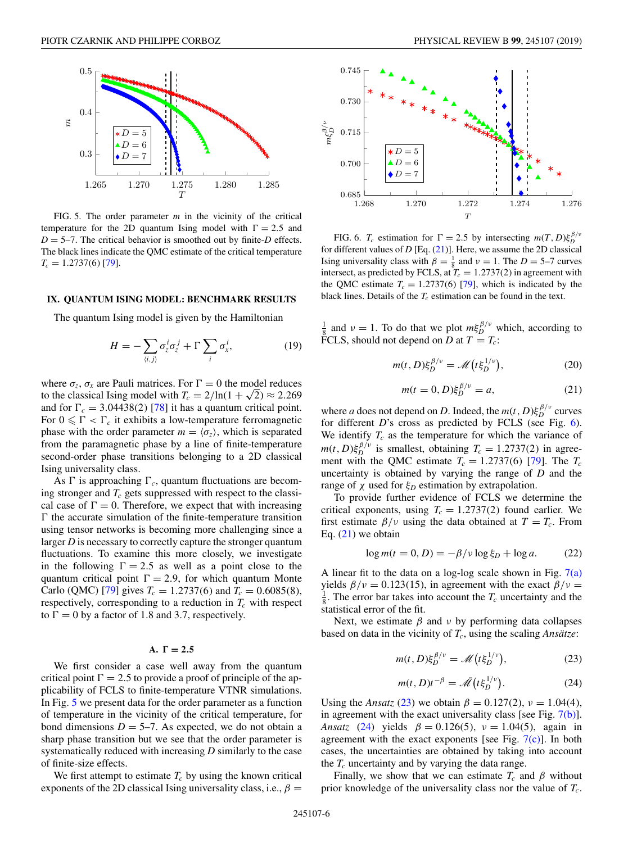<span id="page-6-0"></span>

FIG. 5. The order parameter *m* in the vicinity of the critical temperature for the 2D quantum Ising model with  $\Gamma = 2.5$  and  $D = 5-7$ . The critical behavior is smoothed out by finite-*D* effects. The black lines indicate the QMC estimate of the critical temperature  $T_c = 1.2737(6)$  [\[79\]](#page-11-0).

#### **IX. QUANTUM ISING MODEL: BENCHMARK RESULTS**

The quantum Ising model is given by the Hamiltonian

$$
H = -\sum_{\langle i,j\rangle} \sigma_z^i \sigma_z^j + \Gamma \sum_i \sigma_x^i, \tag{19}
$$

where  $\sigma_z$ ,  $\sigma_x$  are Pauli matrices. For  $\Gamma = 0$  the model reduces to the classical Ising model with  $T_c = 2/\ln(1 + \sqrt{2}) \approx 2.269$ and for  $\Gamma_c = 3.04438(2)$  [\[78\]](#page-11-0) it has a quantum critical point. For  $0 \leq \Gamma < \Gamma_c$  it exhibits a low-temperature ferromagnetic phase with the order parameter  $m = \langle \sigma_z \rangle$ , which is separated from the paramagnetic phase by a line of finite-temperature second-order phase transitions belonging to a 2D classical Ising universality class.

As  $\Gamma$  is approaching  $\Gamma_c$ , quantum fluctuations are becoming stronger and  $T_c$  gets suppressed with respect to the classical case of  $\Gamma = 0$ . Therefore, we expect that with increasing  $\Gamma$  the accurate simulation of the finite-temperature transition using tensor networks is becoming more challenging since a larger *D* is necessary to correctly capture the stronger quantum fluctuations. To examine this more closely, we investigate in the following  $\Gamma = 2.5$  as well as a point close to the quantum critical point  $\Gamma = 2.9$ , for which quantum Monte Carlo (QMC) [\[79\]](#page-11-0) gives  $T_c = 1.2737(6)$  and  $T_c = 0.6085(8)$ , respectively, corresponding to a reduction in  $T_c$  with respect to  $\Gamma = 0$  by a factor of 1.8 and 3.7, respectively.

## $A. \Gamma = 2.5$

We first consider a case well away from the quantum critical point  $\Gamma = 2.5$  to provide a proof of principle of the applicability of FCLS to finite-temperature VTNR simulations. In Fig. 5 we present data for the order parameter as a function of temperature in the vicinity of the critical temperature, for bond dimensions  $D = 5-7$ . As expected, we do not obtain a sharp phase transition but we see that the order parameter is systematically reduced with increasing *D* similarly to the case of finite-size effects.

We first attempt to estimate  $T_c$  by using the known critical exponents of the 2D classical Ising universality class, i.e.,  $\beta =$ 



FIG. 6. *T<sub>c</sub>* estimation for  $\Gamma = 2.5$  by intersecting  $m(T, D)\xi_D^{\beta/\nu}$ for different values of *D* [Eq. (21)]. Here, we assume the 2D classical Ising universality class with  $\beta = \frac{1}{8}$  and  $\nu = 1$ . The  $D = 5-7$  curves intersect, as predicted by FCLS, at  $T_c = 1.2737(2)$  in agreement with the QMC estimate  $T_c = 1.2737(6)$  [\[79\]](#page-11-0), which is indicated by the black lines. Details of the  $T_c$  estimation can be found in the text.

 $\frac{1}{8}$  and  $v = 1$ . To do that we plot  $m\xi_D^{\beta/\nu}$  which, according to FCLS, should not depend on *D* at  $T = T_c$ :

$$
m(t, D)\xi_D^{\beta/\nu} = \mathcal{M}\left(t\xi_D^{1/\nu}\right),\tag{20}
$$

$$
m(t = 0, D)\xi_D^{\beta/\nu} = a,
$$
 (21)

where *a* does not depend on *D*. Indeed, the  $m(t, D)\xi_D^{\beta/\nu}$  curves for different *D*'s cross as predicted by FCLS (see Fig. 6). We identify  $T_c$  as the temperature for which the variance of  $m(t, D) \xi_D^{\beta/\nu}$  is smallest, obtaining  $T_c = 1.2737(2)$  in agreement with the QMC estimate  $T_c = 1.2737(6)$  [\[79\]](#page-11-0). The  $T_c$ uncertainty is obtained by varying the range of *D* and the range of  $χ$  used for  $ξ<sub>D</sub>$  estimation by extrapolation.

To provide further evidence of FCLS we determine the critical exponents, using  $T_c = 1.2737(2)$  found earlier. We first estimate  $\beta/\nu$  using the data obtained at  $T = T_c$ . From Eq.  $(21)$  we obtain

$$
\log m(t = 0, D) = -\beta/v \log \xi_D + \log a. \tag{22}
$$

A linear fit to the data on a log-log scale shown in Fig.  $7(a)$ yields  $\beta/\nu = 0.123(15)$ , in agreement with the exact  $\beta/\nu =$  $\frac{1}{8}$ . The error bar takes into account the  $T_c$  uncertainty and the statistical error of the fit.

Next, we estimate  $\beta$  and  $\nu$  by performing data collapses based on data in the vicinity of *Tc*, using the scaling *Ansätze*:

$$
m(t, D)\xi_D^{\beta/\nu} = \mathcal{M}\left(t\xi_D^{1/\nu}\right),\tag{23}
$$

$$
m(t, D)t^{-\beta} = \bar{\mathcal{M}}(t\xi_D^{1/\nu}).
$$
 (24)

Using the *Ansatz* (23) we obtain  $\beta = 0.127(2)$ ,  $\nu = 1.04(4)$ , in agreement with the exact universality class [see Fig. [7\(b\)\]](#page-7-0). *Ansatz* (24) yields  $\beta = 0.126(5)$ ,  $\nu = 1.04(5)$ , again in agreement with the exact exponents [see Fig.  $7(c)$ ]. In both cases, the uncertainties are obtained by taking into account the  $T_c$  uncertainty and by varying the data range.

Finally, we show that we can estimate  $T_c$  and  $\beta$  without prior knowledge of the universality class nor the value of *Tc*.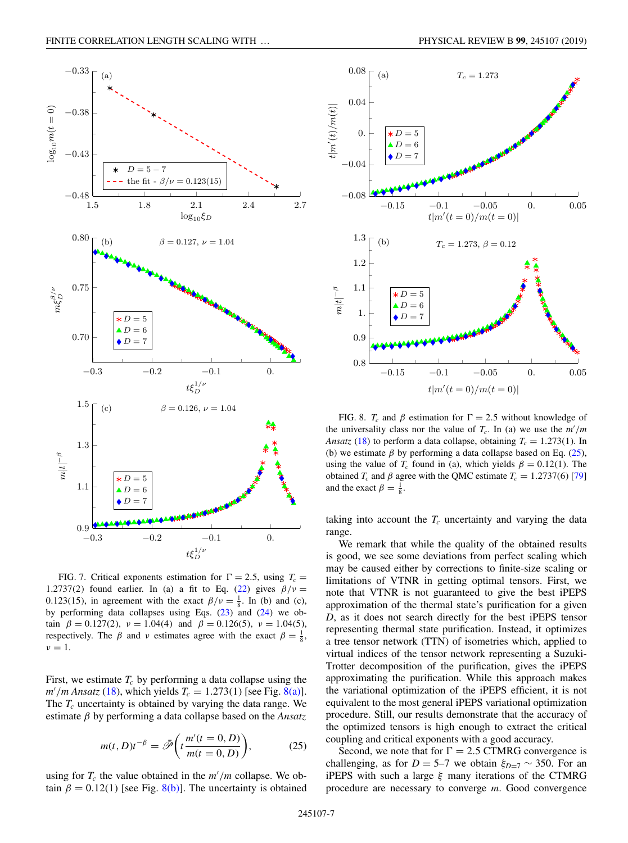<span id="page-7-0"></span>

FIG. 7. Critical exponents estimation for  $\Gamma = 2.5$ , using  $T_c =$ 1.2737(2) found earlier. In (a) a fit to Eq. [\(22\)](#page-6-0) gives  $\beta/\nu =$ 0.123(15), in agreement with the exact  $\beta/\nu = \frac{1}{8}$ . In (b) and (c), by performing data collapses using Eqs. [\(23\)](#page-6-0) and [\(24\)](#page-6-0) we obtain  $\beta = 0.127(2)$ ,  $\nu = 1.04(4)$  and  $\beta = 0.126(5)$ ,  $\nu = 1.04(5)$ , respectively. The  $\beta$  and  $\nu$  estimates agree with the exact  $\beta = \frac{1}{8}$ ,  $\nu = 1$ .

First, we estimate  $T_c$  by performing a data collapse using the  $m'/m$  Ansatz [\(18\)](#page-5-0), which yields  $T_c = 1.273(1)$  [see Fig. 8(a)]. The  $T_c$  uncertainty is obtained by varying the data range. We estimate β by performing a data collapse based on the *Ansatz*

$$
m(t, D)t^{-\beta} = \bar{\mathcal{P}}\bigg(t\frac{m'(t=0, D)}{m(t=0, D)}\bigg),\tag{25}
$$

using for  $T_c$  the value obtained in the  $m'/m$  collapse. We obtain  $\beta = 0.12(1)$  [see Fig. 8(b)]. The uncertainty is obtained



FIG. 8.  $T_c$  and  $\beta$  estimation for  $\Gamma = 2.5$  without knowledge of the universality class nor the value of  $T_c$ . In (a) we use the  $m'/m$ *Ansatz* [\(18\)](#page-5-0) to perform a data collapse, obtaining  $T_c = 1.273(1)$ . In (b) we estimate  $\beta$  by performing a data collapse based on Eq. (25), using the value of  $T_c$  found in (a), which yields  $\beta = 0.12(1)$ . The obtained  $T_c$  and  $\beta$  agree with the QMC estimate  $T_c = 1.2737(6)$  [\[79\]](#page-11-0) and the exact  $\beta = \frac{1}{8}$ .

taking into account the  $T_c$  uncertainty and varying the data range.

We remark that while the quality of the obtained results is good, we see some deviations from perfect scaling which may be caused either by corrections to finite-size scaling or limitations of VTNR in getting optimal tensors. First, we note that VTNR is not guaranteed to give the best iPEPS approximation of the thermal state's purification for a given *D*, as it does not search directly for the best iPEPS tensor representing thermal state purification. Instead, it optimizes a tree tensor network (TTN) of isometries which, applied to virtual indices of the tensor network representing a Suzuki-Trotter decomposition of the purification, gives the iPEPS approximating the purification. While this approach makes the variational optimization of the iPEPS efficient, it is not equivalent to the most general iPEPS variational optimization procedure. Still, our results demonstrate that the accuracy of the optimized tensors is high enough to extract the critical coupling and critical exponents with a good accuracy.

Second, we note that for  $\Gamma = 2.5$  CTMRG convergence is challenging, as for *D* = 5–7 we obtain  $\xi_{D=7} \sim 350$ . For an iPEPS with such a large  $\xi$  many iterations of the CTMRG procedure are necessary to converge *m*. Good convergence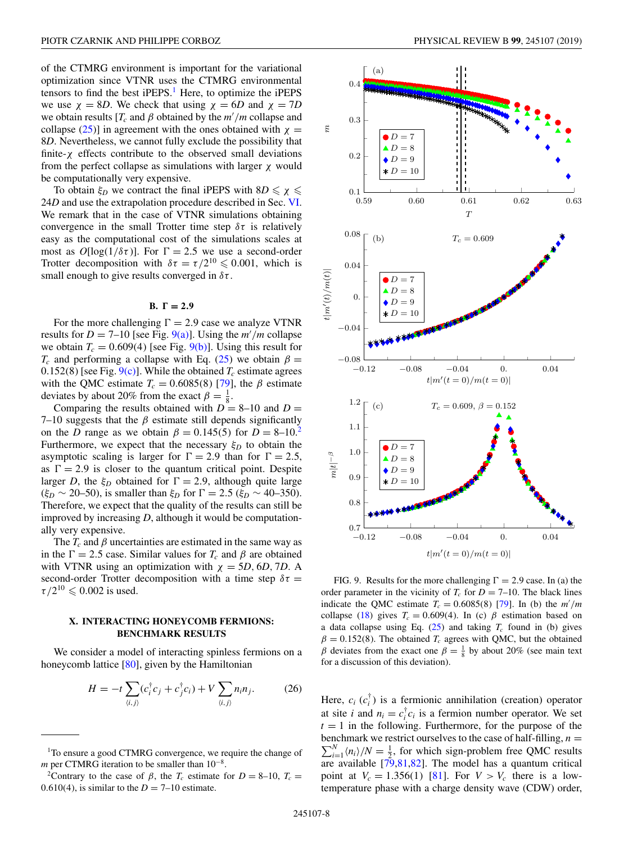<span id="page-8-0"></span>of the CTMRG environment is important for the variational optimization since VTNR uses the CTMRG environmental tensors to find the best  $iPEPS<sup>1</sup>$  Here, to optimize the  $iPEPS$ we use  $\chi = 8D$ . We check that using  $\chi = 6D$  and  $\chi = 7D$ we obtain results  $[T_c$  and  $\beta$  obtained by the  $m'/m$  collapse and collapse [\(25\)](#page-7-0)] in agreement with the ones obtained with  $\chi$  = 8*D*. Nevertheless, we cannot fully exclude the possibility that finite- $\chi$  effects contribute to the observed small deviations from the perfect collapse as simulations with larger  $\chi$  would be computationally very expensive.

To obtain  $\xi_D$  we contract the final iPEPS with  $8D \le \chi \le$ 24*D* and use the extrapolation procedure described in Sec. [VI.](#page-4-0) We remark that in the case of VTNR simulations obtaining convergence in the small Trotter time step  $\delta \tau$  is relatively easy as the computational cost of the simulations scales at most as  $O[\log(1/\delta\tau)]$ . For  $\Gamma = 2.5$  we use a second-order Trotter decomposition with  $\delta \tau = \tau/2^{10} \leq 0.001$ , which is small enough to give results converged in  $\delta \tau$ .

## $B. \Gamma = 2.9$

For the more challenging  $\Gamma = 2.9$  case we analyze VTNR results for  $D = 7{\text -}10$  [see Fig. 9(a)]. Using the  $m'/m$  collapse we obtain  $T_c = 0.609(4)$  [see Fig. 9(b)]. Using this result for  $T_c$  and performing a collapse with Eq. [\(25\)](#page-7-0) we obtain  $\beta =$ 0.152(8) [see Fig.  $9(c)$ ]. While the obtained  $T_c$  estimate agrees with the QMC estimate  $T_c = 0.6085(8)$  [\[79\]](#page-11-0), the  $\beta$  estimate deviates by about 20% from the exact  $\beta = \frac{1}{8}$ .

Comparing the results obtained with  $D = 8-10$  and  $D =$ 7–10 suggests that the  $\beta$  estimate still depends significantly on the *D* range as we obtain  $\beta = 0.145(5)$  for  $D = 8-10^2$ . Furthermore, we expect that the necessary  $\xi_D$  to obtain the asymptotic scaling is larger for  $\Gamma = 2.9$  than for  $\Gamma = 2.5$ , as  $\Gamma = 2.9$  is closer to the quantum critical point. Despite larger *D*, the  $\xi_D$  obtained for  $\Gamma = 2.9$ , although quite large  $(\xi_D \sim 20 - 50)$ , is smaller than  $\xi_D$  for  $\Gamma = 2.5$  ( $\xi_D \sim 40 - 350$ ). Therefore, we expect that the quality of the results can still be improved by increasing *D*, although it would be computationally very expensive.

The  $T_c$  and  $\beta$  uncertainties are estimated in the same way as in the  $\Gamma = 2.5$  case. Similar values for  $T_c$  and  $\beta$  are obtained with VTNR using an optimization with  $\chi = 5D, 6D, 7D$ . A second-order Trotter decomposition with a time step  $\delta \tau =$  $\tau/2^{10} \leqslant 0.002$  is used.

## **X. INTERACTING HONEYCOMB FERMIONS: BENCHMARK RESULTS**

We consider a model of interacting spinless fermions on a honeycomb lattice  $[80]$ , given by the Hamiltonian

$$
H = -t \sum_{\langle i,j \rangle} (c_i^{\dagger} c_j + c_j^{\dagger} c_i) + V \sum_{\langle i,j \rangle} n_i n_j.
$$
 (26)



FIG. 9. Results for the more challenging  $\Gamma = 2.9$  case. In (a) the order parameter in the vicinity of  $T_c$  for  $D = 7{\text -}10$ . The black lines indicate the QMC estimate  $T_c = 0.6085(8)$  [\[79\]](#page-11-0). In (b) the  $m'/m$ collapse [\(18\)](#page-5-0) gives  $T_c = 0.609(4)$ . In (c)  $\beta$  estimation based on a data collapse using Eq.  $(25)$  and taking  $T_c$  found in (b) gives  $\beta = 0.152(8)$ . The obtained *T<sub>c</sub>* agrees with QMC, but the obtained β deviates from the exact one  $β = \frac{1}{8}$  by about 20% (see main text for a discussion of this deviation).

Here,  $c_i$  ( $c_i^{\dagger}$ ) is a fermionic annihilation (creation) operator at site *i* and  $n_i = c_i^{\dagger} c_i$  is a fermion number operator. We set  $t = 1$  in the following. Furthermore, for the purpose of the  $\sum_{i=1}^{N} \langle n_i \rangle/N = \frac{1}{2}$ , for which sign-problem free QMC results benchmark we restrict ourselves to the case of half-filling,  $n =$ are available [\[79,81,82\]](#page-11-0). The model has a quantum critical point at  $V_c = 1.356(1)$  [\[81\]](#page-11-0). For  $V > V_c$  there is a lowtemperature phase with a charge density wave (CDW) order,

<sup>&</sup>lt;sup>1</sup>To ensure a good CTMRG convergence, we require the change of *m* per CTMRG iteration to be smaller than 10<sup>-8</sup>.

<sup>&</sup>lt;sup>2</sup>Contrary to the case of  $\beta$ , the  $T_c$  estimate for  $D = 8{\text -}10$ ,  $T_c =$ 0.610(4), is similar to the  $D = 7-10$  estimate.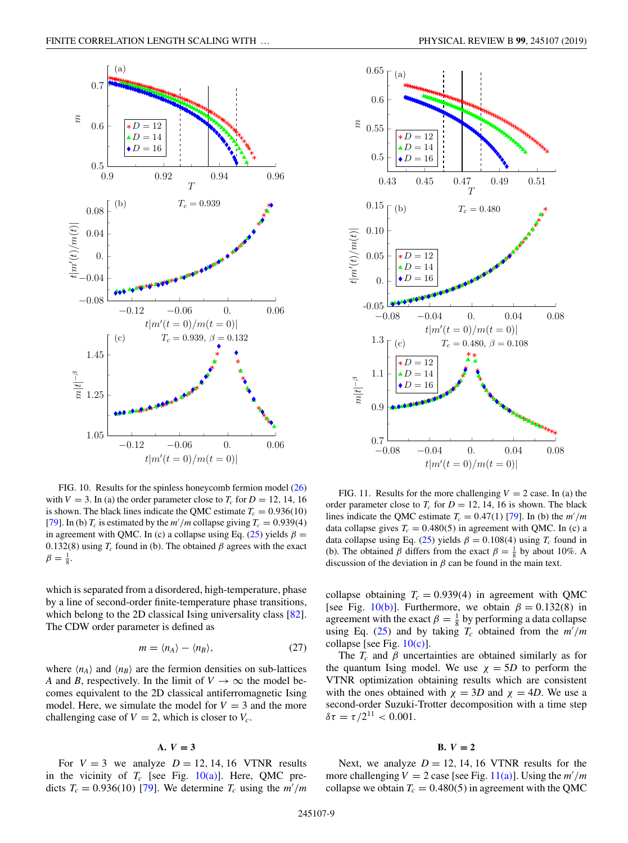<span id="page-9-0"></span>

FIG. 10. Results for the spinless honeycomb fermion model [\(26\)](#page-8-0) with  $V = 3$ . In (a) the order parameter close to  $T_c$  for  $D = 12, 14, 16$ is shown. The black lines indicate the OMC estimate  $T_c = 0.936(10)$ [\[79\]](#page-11-0). In (b)  $T_c$  is estimated by the  $m'/m$  collapse giving  $T_c = 0.939(4)$ in agreement with QMC. In (c) a collapse using Eq. [\(25\)](#page-7-0) yields  $\beta =$ 0.132(8) using  $T_c$  found in (b). The obtained  $\beta$  agrees with the exact  $\beta = \frac{1}{8}.$ 

which is separated from a disordered, high-temperature, phase by a line of second-order finite-temperature phase transitions, which belong to the 2D classical Ising universality class [\[82\]](#page-11-0). The CDW order parameter is defined as

$$
m = \langle n_A \rangle - \langle n_B \rangle, \tag{27}
$$

where  $\langle n_A \rangle$  and  $\langle n_B \rangle$  are the fermion densities on sub-lattices *A* and *B*, respectively. In the limit of  $V \rightarrow \infty$  the model becomes equivalent to the 2D classical antiferromagnetic Ising model. Here, we simulate the model for  $V = 3$  and the more challenging case of  $V = 2$ , which is closer to  $V_c$ .

#### **A.** *V* **= 3**

For  $V = 3$  we analyze  $D = 12, 14, 16$  VTNR results in the vicinity of  $T_c$  [see Fig. 10(a)]. Here, QMC predicts  $T_c = 0.936(10)$  [\[79\]](#page-11-0). We determine  $T_c$  using the  $m'/m$ 



FIG. 11. Results for the more challenging  $V = 2$  case. In (a) the order parameter close to  $T_c$  for  $D = 12, 14, 16$  is shown. The black lines indicate the QMC estimate  $T_c = 0.47(1)$  [\[79\]](#page-11-0). In (b) the  $m'/m$ data collapse gives  $T_c = 0.480(5)$  in agreement with QMC. In (c) a data collapse using Eq. [\(25\)](#page-7-0) yields  $\beta = 0.108(4)$  using  $T_c$  found in (b). The obtained  $\beta$  differs from the exact  $\beta = \frac{1}{8}$  by about 10%. A discussion of the deviation in  $\beta$  can be found in the main text.

collapse obtaining  $T_c = 0.939(4)$  in agreement with QMC [see Fig. 10(b)]. Furthermore, we obtain  $\beta = 0.132(8)$  in agreement with the exact  $\beta = \frac{1}{8}$  by performing a data collapse using Eq. [\(25\)](#page-7-0) and by taking  $T_c$  obtained from the  $m'/m$ collapse [see Fig.  $10(c)$ ].

The  $T_c$  and  $\beta$  uncertainties are obtained similarly as for the quantum Ising model. We use  $\chi = 5D$  to perform the VTNR optimization obtaining results which are consistent with the ones obtained with  $\chi = 3D$  and  $\chi = 4D$ . We use a second-order Suzuki-Trotter decomposition with a time step  $\delta \tau = \tau / 2^{11} < 0.001.$ 

#### **B.**  $V = 2$

Next, we analyze  $D = 12, 14, 16$  VTNR results for the more challenging  $V = 2$  case [see Fig.  $11(a)$ ]. Using the  $m'/m$ collapse we obtain  $T_c = 0.480(5)$  in agreement with the QMC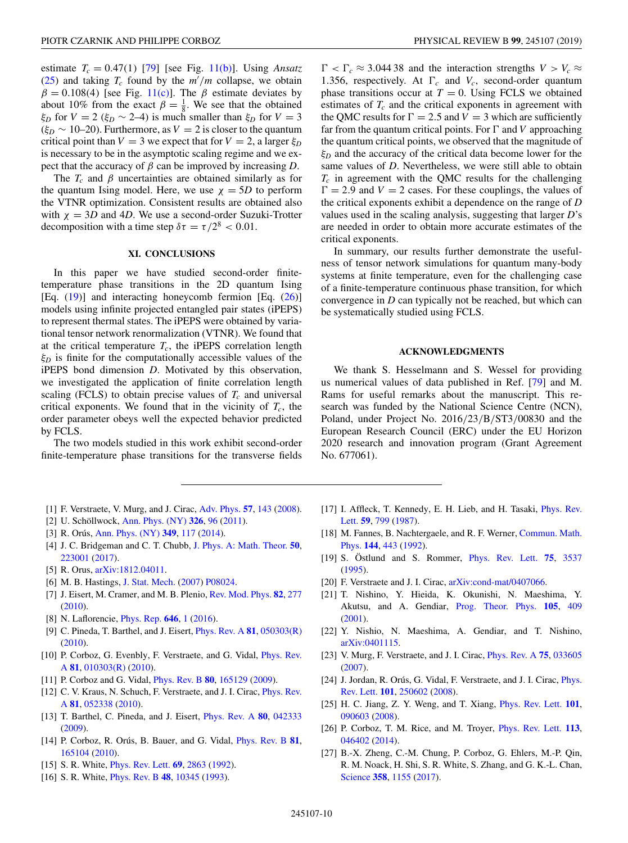<span id="page-10-0"></span>estimate  $T_c = 0.47(1)$  [\[79\]](#page-11-0) [see Fig. [11\(b\)\]](#page-9-0). Using *Ansatz* [\(25\)](#page-7-0) and taking  $T_c$  found by the  $m'/m$  collapse, we obtain  $\beta = 0.108(4)$  [see Fig. [11\(c\)\]](#page-9-0). The  $\beta$  estimate deviates by about 10% from the exact  $\beta = \frac{1}{8}$ . We see that the obtained ξ*D* for  $V = 2$  (ξ*D* ~ 2–4) is much smaller than ξ*D* for  $V = 3$  $(\xi_D \sim 10-20)$ . Furthermore, as  $V = 2$  is closer to the quantum critical point than  $V = 3$  we expect that for  $V = 2$ , a larger  $\xi_D$ is necessary to be in the asymptotic scaling regime and we expect that the accuracy of  $\beta$  can be improved by increasing *D*.

The  $T_c$  and  $\beta$  uncertainties are obtained similarly as for the quantum Ising model. Here, we use  $\chi = 5D$  to perform the VTNR optimization. Consistent results are obtained also with  $\chi = 3D$  and 4*D*. We use a second-order Suzuki-Trotter decomposition with a time step  $\delta \tau = \tau/2^8 < 0.01$ .

## **XI. CONCLUSIONS**

In this paper we have studied second-order finitetemperature phase transitions in the 2D quantum Ising [Eq. [\(19\)](#page-6-0)] and interacting honeycomb fermion [Eq. [\(26\)](#page-8-0)] models using infinite projected entangled pair states (iPEPS) to represent thermal states. The iPEPS were obtained by variational tensor network renormalization (VTNR). We found that at the critical temperature  $T_c$ , the iPEPS correlation length  $\xi_D$  is finite for the computationally accessible values of the iPEPS bond dimension *D*. Motivated by this observation, we investigated the application of finite correlation length scaling (FCLS) to obtain precise values of  $T_c$  and universal critical exponents. We found that in the vicinity of  $T_c$ , the order parameter obeys well the expected behavior predicted by FCLS.

The two models studied in this work exhibit second-order finite-temperature phase transitions for the transverse fields

- [1] F. Verstraete, V. Murg, and J. Cirac, [Adv. Phys.](https://doi.org/10.1080/14789940801912366) **[57](https://doi.org/10.1080/14789940801912366)**, [143](https://doi.org/10.1080/14789940801912366) [\(2008\)](https://doi.org/10.1080/14789940801912366).
- [2] U. Schöllwock, [Ann. Phys. \(NY\)](https://doi.org/10.1016/j.aop.2010.09.012) **[326](https://doi.org/10.1016/j.aop.2010.09.012)**, [96](https://doi.org/10.1016/j.aop.2010.09.012) [\(2011\)](https://doi.org/10.1016/j.aop.2010.09.012).
- [3] R. Orús, [Ann. Phys. \(NY\)](https://doi.org/10.1016/j.aop.2014.06.013) **[349](https://doi.org/10.1016/j.aop.2014.06.013)**, [117](https://doi.org/10.1016/j.aop.2014.06.013) [\(2014\)](https://doi.org/10.1016/j.aop.2014.06.013).
- [4] J. C. Bridgeman and C. T. Chubb, [J. Phys. A: Math. Theor.](https://doi.org/10.1088/1751-8121/aa6dc3) **[50](https://doi.org/10.1088/1751-8121/aa6dc3)**, [223001](https://doi.org/10.1088/1751-8121/aa6dc3) [\(2017\)](https://doi.org/10.1088/1751-8121/aa6dc3).
- [5] R. Orus, [arXiv:1812.04011.](http://arxiv.org/abs/arXiv:1812.04011)
- [6] M. B. Hastings, [J. Stat. Mech.](https://doi.org/10.1088/1742-5468/2007/08/P08024) [\(2007\)](https://doi.org/10.1088/1742-5468/2007/08/P08024) [P08024.](https://doi.org/10.1088/1742-5468/2007/08/P08024)
- [7] J. Eisert, M. Cramer, and M. B. Plenio, [Rev. Mod. Phys.](https://doi.org/10.1103/RevModPhys.82.277) **[82](https://doi.org/10.1103/RevModPhys.82.277)**, [277](https://doi.org/10.1103/RevModPhys.82.277) [\(2010\)](https://doi.org/10.1103/RevModPhys.82.277).
- [8] N. Laflorencie, [Phys. Rep.](https://doi.org/10.1016/j.physrep.2016.06.008) **[646](https://doi.org/10.1016/j.physrep.2016.06.008)**, [1](https://doi.org/10.1016/j.physrep.2016.06.008) [\(2016\)](https://doi.org/10.1016/j.physrep.2016.06.008).
- [9] C. Pineda, T. Barthel, and J. Eisert, [Phys. Rev. A](https://doi.org/10.1103/PhysRevA.81.050303) **[81](https://doi.org/10.1103/PhysRevA.81.050303)**, [050303\(R\)](https://doi.org/10.1103/PhysRevA.81.050303) [\(2010\)](https://doi.org/10.1103/PhysRevA.81.050303).
- [10] [P. Corboz, G. Evenbly, F. Verstraete, and G. Vidal,](https://doi.org/10.1103/PhysRevA.81.010303) *Phys. Rev.* A **[81](https://doi.org/10.1103/PhysRevA.81.010303)**, [010303\(R\)](https://doi.org/10.1103/PhysRevA.81.010303) [\(2010\)](https://doi.org/10.1103/PhysRevA.81.010303).
- [11] P. Corboz and G. Vidal, [Phys. Rev. B](https://doi.org/10.1103/PhysRevB.80.165129) **[80](https://doi.org/10.1103/PhysRevB.80.165129)**, [165129](https://doi.org/10.1103/PhysRevB.80.165129) [\(2009\)](https://doi.org/10.1103/PhysRevB.80.165129).
- [12] [C. V. Kraus, N. Schuch, F. Verstraete, and J. I. Cirac,](https://doi.org/10.1103/PhysRevA.81.052338) *Phys. Rev.* A **[81](https://doi.org/10.1103/PhysRevA.81.052338)**, [052338](https://doi.org/10.1103/PhysRevA.81.052338) [\(2010\)](https://doi.org/10.1103/PhysRevA.81.052338).
- [13] T. Barthel, C. Pineda, and J. Eisert, [Phys. Rev. A](https://doi.org/10.1103/PhysRevA.80.042333) **[80](https://doi.org/10.1103/PhysRevA.80.042333)**, [042333](https://doi.org/10.1103/PhysRevA.80.042333) [\(2009\)](https://doi.org/10.1103/PhysRevA.80.042333).
- [14] P. Corboz, R. Orús, B. Bauer, and G. Vidal, [Phys. Rev. B](https://doi.org/10.1103/PhysRevB.81.165104) **[81](https://doi.org/10.1103/PhysRevB.81.165104)**, [165104](https://doi.org/10.1103/PhysRevB.81.165104) [\(2010\)](https://doi.org/10.1103/PhysRevB.81.165104).
- [15] S. R. White, [Phys. Rev. Lett.](https://doi.org/10.1103/PhysRevLett.69.2863) **[69](https://doi.org/10.1103/PhysRevLett.69.2863)**, [2863](https://doi.org/10.1103/PhysRevLett.69.2863) [\(1992\)](https://doi.org/10.1103/PhysRevLett.69.2863).
- [16] S. R. White, [Phys. Rev. B](https://doi.org/10.1103/PhysRevB.48.10345) **[48](https://doi.org/10.1103/PhysRevB.48.10345)**, [10345](https://doi.org/10.1103/PhysRevB.48.10345) [\(1993\)](https://doi.org/10.1103/PhysRevB.48.10345).

 $\Gamma < \Gamma_c \approx 3.04438$  and the interaction strengths  $V > V_c \approx$ 1.356, respectively. At  $\Gamma_c$  and  $V_c$ , second-order quantum phase transitions occur at  $T = 0$ . Using FCLS we obtained estimates of  $T_c$  and the critical exponents in agreement with the QMC results for  $\Gamma = 2.5$  and  $V = 3$  which are sufficiently far from the quantum critical points. For  $\Gamma$  and *V* approaching the quantum critical points, we observed that the magnitude of ξ*<sup>D</sup>* and the accuracy of the critical data become lower for the same values of *D*. Nevertheless, we were still able to obtain  $T_c$  in agreement with the QMC results for the challenging  $\Gamma = 2.9$  and  $V = 2$  cases. For these couplings, the values of the critical exponents exhibit a dependence on the range of *D* values used in the scaling analysis, suggesting that larger *D*'s are needed in order to obtain more accurate estimates of the critical exponents.

In summary, our results further demonstrate the usefulness of tensor network simulations for quantum many-body systems at finite temperature, even for the challenging case of a finite-temperature continuous phase transition, for which convergence in *D* can typically not be reached, but which can be systematically studied using FCLS.

## **ACKNOWLEDGMENTS**

We thank S. Hesselmann and S. Wessel for providing us numerical values of data published in Ref. [\[79\]](#page-11-0) and M. Rams for useful remarks about the manuscript. This research was funded by the National Science Centre (NCN), Poland, under Project No. 2016/23/B/ST3/00830 and the European Research Council (ERC) under the EU Horizon 2020 research and innovation program (Grant Agreement No. 677061).

- [17] [I. Affleck, T. Kennedy, E. H. Lieb, and H. Tasaki,](https://doi.org/10.1103/PhysRevLett.59.799) Phys. Rev. Lett. **[59](https://doi.org/10.1103/PhysRevLett.59.799)**, [799](https://doi.org/10.1103/PhysRevLett.59.799) [\(1987\)](https://doi.org/10.1103/PhysRevLett.59.799).
- [18] [M. Fannes, B. Nachtergaele, and R. F. Werner,](https://doi.org/10.1007/BF02099178) Commun. Math. Phys. **[144](https://doi.org/10.1007/BF02099178)**, [443](https://doi.org/10.1007/BF02099178) [\(1992\)](https://doi.org/10.1007/BF02099178).
- [19] S. Östlund and S. Rommer, [Phys. Rev. Lett.](https://doi.org/10.1103/PhysRevLett.75.3537) **[75](https://doi.org/10.1103/PhysRevLett.75.3537)**, [3537](https://doi.org/10.1103/PhysRevLett.75.3537) [\(1995\)](https://doi.org/10.1103/PhysRevLett.75.3537).
- [20] F. Verstraete and J. I. Cirac, [arXiv:cond-mat/0407066.](http://arxiv.org/abs/arXiv:cond-mat/0407066)
- [21] T. Nishino, Y. Hieida, K. Okunishi, N. Maeshima, Y. Akutsu, and A. Gendiar, [Prog. Theor. Phys.](https://doi.org/10.1143/PTP.105.409) **[105](https://doi.org/10.1143/PTP.105.409)**, [409](https://doi.org/10.1143/PTP.105.409) [\(2001\)](https://doi.org/10.1143/PTP.105.409).
- [22] Y. Nishio, N. Maeshima, A. Gendiar, and T. Nishino, [arXiv:0401115.](http://arxiv.org/abs/arXiv:0401115)
- [23] V. Murg, F. Verstraete, and J. I. Cirac, [Phys. Rev. A](https://doi.org/10.1103/PhysRevA.75.033605) **[75](https://doi.org/10.1103/PhysRevA.75.033605)**, [033605](https://doi.org/10.1103/PhysRevA.75.033605) [\(2007\)](https://doi.org/10.1103/PhysRevA.75.033605).
- [24] [J. Jordan, R. Orús, G. Vidal, F. Verstraete, and J. I. Cirac,](https://doi.org/10.1103/PhysRevLett.101.250602) *Phys.* Rev. Lett. **[101](https://doi.org/10.1103/PhysRevLett.101.250602)**, [250602](https://doi.org/10.1103/PhysRevLett.101.250602) [\(2008\)](https://doi.org/10.1103/PhysRevLett.101.250602).
- [25] H. C. Jiang, Z. Y. Weng, and T. Xiang, [Phys. Rev. Lett.](https://doi.org/10.1103/PhysRevLett.101.090603) **[101](https://doi.org/10.1103/PhysRevLett.101.090603)**, [090603](https://doi.org/10.1103/PhysRevLett.101.090603) [\(2008\)](https://doi.org/10.1103/PhysRevLett.101.090603).
- [26] P. Corboz, T. M. Rice, and M. Troyer, [Phys. Rev. Lett.](https://doi.org/10.1103/PhysRevLett.113.046402) **[113](https://doi.org/10.1103/PhysRevLett.113.046402)**, [046402](https://doi.org/10.1103/PhysRevLett.113.046402) [\(2014\)](https://doi.org/10.1103/PhysRevLett.113.046402).
- [27] B.-X. Zheng, C.-M. Chung, P. Corboz, G. Ehlers, M.-P. Qin, R. M. Noack, H. Shi, S. R. White, S. Zhang, and G. K.-L. Chan, [Science](https://doi.org/10.1126/science.aam7127) **[358](https://doi.org/10.1126/science.aam7127)**, [1155](https://doi.org/10.1126/science.aam7127) [\(2017\)](https://doi.org/10.1126/science.aam7127).